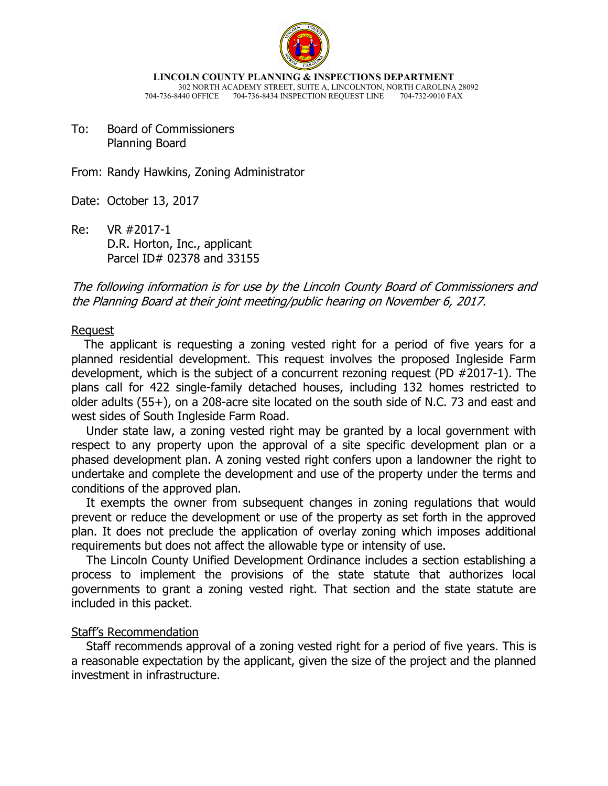

**LINCOLN COUNTY PLANNING & INSPECTIONS DEPARTMENT** 302 NORTH ACADEMY STREET, SUITE A, LINCOLNTON, NORTH CAROLINA 28092

704-736-8440 OFFICE 704-736-8434 INSPECTION REQUEST LINE 704-732-9010 FAX

To: Board of Commissioners Planning Board

From: Randy Hawkins, Zoning Administrator

Date: October 13, 2017

Re: VR #2017-1 D.R. Horton, Inc., applicant Parcel ID# 02378 and 33155

The following information is for use by the Lincoln County Board of Commissioners and the Planning Board at their joint meeting/public hearing on November 6, 2017.

#### **Request**

 The applicant is requesting a zoning vested right for a period of five years for a planned residential development. This request involves the proposed Ingleside Farm development, which is the subject of a concurrent rezoning request (PD #2017-1). The plans call for 422 single-family detached houses, including 132 homes restricted to older adults (55+), on a 208-acre site located on the south side of N.C. 73 and east and west sides of South Ingleside Farm Road.

 Under state law, a zoning vested right may be granted by a local government with respect to any property upon the approval of a site specific development plan or a phased development plan. A zoning vested right confers upon a landowner the right to undertake and complete the development and use of the property under the terms and conditions of the approved plan.

 It exempts the owner from subsequent changes in zoning regulations that would prevent or reduce the development or use of the property as set forth in the approved plan. It does not preclude the application of overlay zoning which imposes additional requirements but does not affect the allowable type or intensity of use.

 The Lincoln County Unified Development Ordinance includes a section establishing a process to implement the provisions of the state statute that authorizes local governments to grant a zoning vested right. That section and the state statute are included in this packet.

#### Staff's Recommendation

 Staff recommends approval of a zoning vested right for a period of five years. This is a reasonable expectation by the applicant, given the size of the project and the planned investment in infrastructure.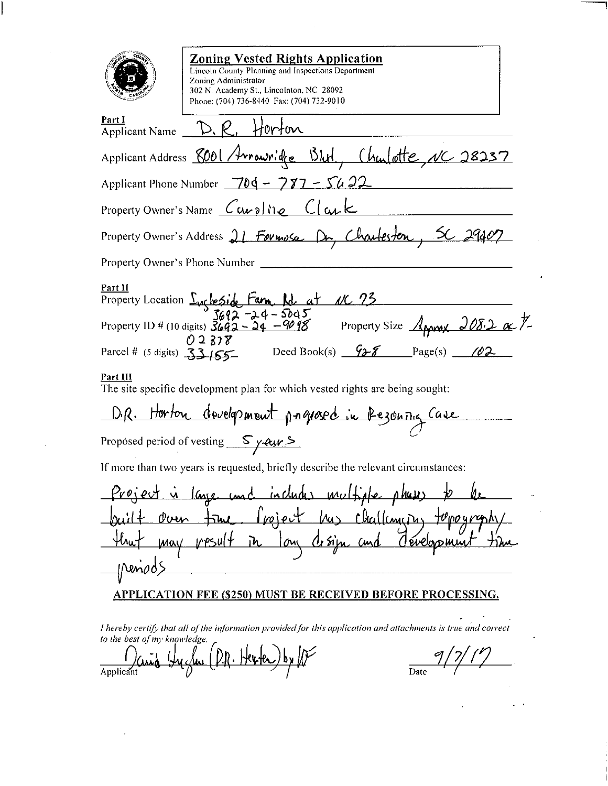|                             | <b>Zoning Vested Rights Application</b><br>Lincoln County Planning and Inspections Department<br>Zoning Administrator<br>302 N. Academy St., Lincolnton, NC 28092                                                                                                                                                                                                                                                                              |
|-----------------------------|------------------------------------------------------------------------------------------------------------------------------------------------------------------------------------------------------------------------------------------------------------------------------------------------------------------------------------------------------------------------------------------------------------------------------------------------|
| Part I                      | Phone: (704) 736-8440 Fax: (704) 732-9010<br>D, R.<br>Horton                                                                                                                                                                                                                                                                                                                                                                                   |
| <b>Applicant Name</b>       | Applicant Address 8001 Arrowrige Blut, Chamfotte, NC 28237                                                                                                                                                                                                                                                                                                                                                                                     |
|                             |                                                                                                                                                                                                                                                                                                                                                                                                                                                |
|                             | Applicant Phone Number $\frac{-704 - 787 - 5422}{56}$                                                                                                                                                                                                                                                                                                                                                                                          |
|                             | Property Owner's Name $C$ $\omega$ $\partial$ $\partial$ $C$ $\alpha$ $\in$                                                                                                                                                                                                                                                                                                                                                                    |
|                             | Property Owner's Address 21 Formosa Dr., Charlesten, SC 29407                                                                                                                                                                                                                                                                                                                                                                                  |
|                             | Property Owner's Phone Number                                                                                                                                                                                                                                                                                                                                                                                                                  |
| Part II                     |                                                                                                                                                                                                                                                                                                                                                                                                                                                |
|                             | Property Location <i><u>Englesside</u></i> Farm Id at NC 73<br>Property ID # (10 digits) $\frac{3692-24-5045}{3692-24-9098}$ Property Size Approx 208.2 ac t                                                                                                                                                                                                                                                                                   |
|                             | 02377                                                                                                                                                                                                                                                                                                                                                                                                                                          |
| Parcel # (5 digits) $33/55$ | Deed Book(s) $9-8$ Page(s) $\sqrt{2}$                                                                                                                                                                                                                                                                                                                                                                                                          |
| Part III                    | The site specific development plan for which vested rights are being sought:                                                                                                                                                                                                                                                                                                                                                                   |
|                             | D.R. Horton dovelopment proposed in Rezoning Case                                                                                                                                                                                                                                                                                                                                                                                              |
|                             |                                                                                                                                                                                                                                                                                                                                                                                                                                                |
|                             | Proposed period of vesting $S$ y-eur $S$                                                                                                                                                                                                                                                                                                                                                                                                       |
|                             | If more than two years is requested, briefly describe the relevant circumstances:<br>$\bullet$ and $\bullet$ and $\bullet$ and $\bullet$ and $\bullet$ and $\bullet$ and $\bullet$ and $\bullet$ and $\bullet$ and $\bullet$ and $\bullet$ and $\bullet$ and $\bullet$ and $\bullet$ and $\bullet$ and $\bullet$ and $\bullet$ and $\bullet$ and $\bullet$ and $\bullet$ and $\bullet$ and $\bullet$ and $\bullet$ and $\bullet$ and $\bullet$ |
|                             |                                                                                                                                                                                                                                                                                                                                                                                                                                                |
|                             |                                                                                                                                                                                                                                                                                                                                                                                                                                                |
|                             | evelove                                                                                                                                                                                                                                                                                                                                                                                                                                        |
|                             |                                                                                                                                                                                                                                                                                                                                                                                                                                                |
|                             |                                                                                                                                                                                                                                                                                                                                                                                                                                                |

 $\label{eq:2.1} \frac{1}{\sqrt{2}}\int_{\mathbb{R}^3}\frac{1}{\sqrt{2}}\left(\frac{1}{\sqrt{2}}\right)^2\frac{1}{\sqrt{2}}\left(\frac{1}{\sqrt{2}}\right)^2\frac{1}{\sqrt{2}}\left(\frac{1}{\sqrt{2}}\right)^2.$ 

Applicant Hygles (P.R. Herter) by W

 $\mathcal{L}(\mathcal{L}^{\mathcal{L}})$  and  $\mathcal{L}(\mathcal{L}^{\mathcal{L}})$  and  $\mathcal{L}(\mathcal{L}^{\mathcal{L}})$ 

I

 $\frac{9}{2}$ 

 $\label{eq:2.1} \mathcal{L}(\mathcal{L}^{\mathcal{L}}(\mathcal{L}^{\mathcal{L}}(\mathcal{L}^{\mathcal{L}}(\mathcal{L}^{\mathcal{L}}(\mathcal{L}^{\mathcal{L}}(\mathcal{L}^{\mathcal{L}}(\mathcal{L}^{\mathcal{L}}(\mathcal{L}^{\mathcal{L}}(\mathcal{L}^{\mathcal{L}}(\mathcal{L}^{\mathcal{L}}(\mathcal{L}^{\mathcal{L}}(\mathcal{L}^{\mathcal{L}}(\mathcal{L}^{\mathcal{L}}(\mathcal{L}^{\mathcal{L}}(\mathcal{L}^{\mathcal{L}}(\mathcal{L}^{\mathcal$ 

 $\mathcal{L}^{(1)}$  .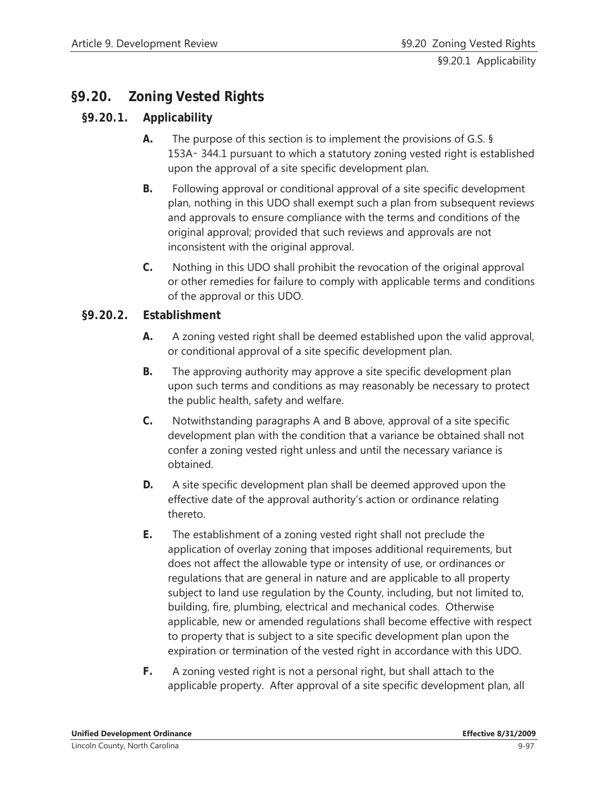# **§9.20. Zoning Vested Rights**

## **§9.20.1. Applicability**

- **A.** The purpose of this section is to implement the provisions of G.S. § 153A- 344.1 pursuant to which a statutory zoning vested right is established upon the approval of a site specific development plan.
- **B.** Following approval or conditional approval of a site specific development plan, nothing in this UDO shall exempt such a plan from subsequent reviews and approvals to ensure compliance with the terms and conditions of the original approval; provided that such reviews and approvals are not inconsistent with the original approval.
- **C.** Nothing in this UDO shall prohibit the revocation of the original approval or other remedies for failure to comply with applicable terms and conditions of the approval or this UDO.

## **§9.20.2. Establishment**

- **A.** A zoning vested right shall be deemed established upon the valid approval, or conditional approval of a site specific development plan.
- **B.** The approving authority may approve a site specific development plan upon such terms and conditions as may reasonably be necessary to protect the public health, safety and welfare.
- **C.** Notwithstanding paragraphs A and B above, approval of a site specific development plan with the condition that a variance be obtained shall not confer a zoning vested right unless and until the necessary variance is obtained.
- **D.** A site specific development plan shall be deemed approved upon the effective date of the approval authority's action or ordinance relating thereto.
- **E.** The establishment of a zoning vested right shall not preclude the application of overlay zoning that imposes additional requirements, but does not affect the allowable type or intensity of use, or ordinances or regulations that are general in nature and are applicable to all property subject to land use regulation by the County, including, but not limited to, building, fire, plumbing, electrical and mechanical codes. Otherwise applicable, new or amended regulations shall become effective with respect to property that is subject to a site specific development plan upon the expiration or termination of the vested right in accordance with this UDO.
- **F.** A zoning vested right is not a personal right, but shall attach to the applicable property. After approval of a site specific development plan, all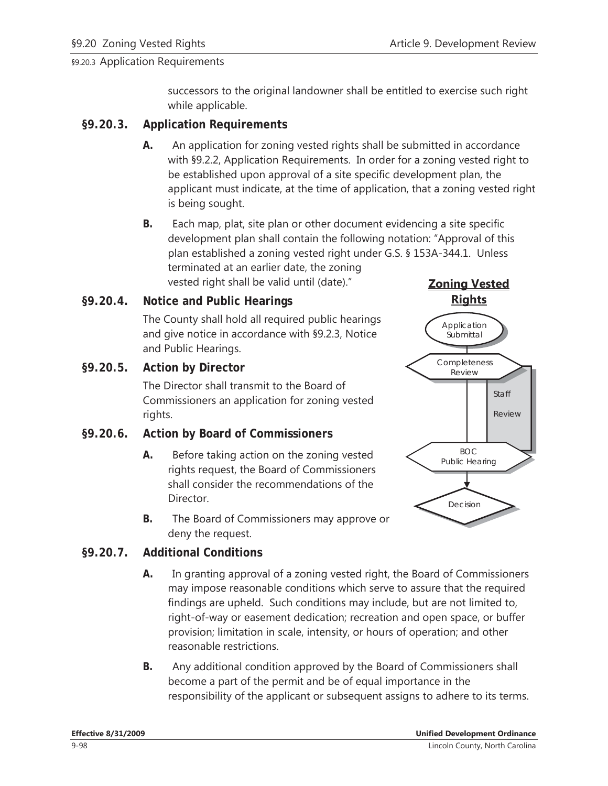#### §9.20.3 Application Requirements

successors to the original landowner shall be entitled to exercise such right while applicable.

#### **§9.20.3. Application Requirements**

- **A.** An application for zoning vested rights shall be submitted in accordance with §9.2.2, Application Requirements. In order for a zoning vested right to be established upon approval of a site specific development plan, the applicant must indicate, at the time of application, that a zoning vested right is being sought.
- **B.** Each map, plat, site plan or other document evidencing a site specific development plan shall contain the following notation: "Approval of this plan established a zoning vested right under G.S. § 153A-344.1. Unless terminated at an earlier date, the zoning vested right shall be valid until (date)."

## **§9.20.4. Notice and Public Hearings**

The County shall hold all required public hearings and give notice in accordance with §9.2.3, Notice and Public Hearings.

## **§9.20.5. Action by Director**

The Director shall transmit to the Board of Commissioners an application for zoning vested rights.

## **§9.20.6. Action by Board of Commissioners**

- **A.** Before taking action on the zoning vested rights request, the Board of Commissioners shall consider the recommendations of the Director.
- **B.** The Board of Commissioners may approve or deny the request.

## **§9.20.7. Additional Conditions**

- **A.** In granting approval of a zoning vested right, the Board of Commissioners may impose reasonable conditions which serve to assure that the required findings are upheld. Such conditions may include, but are not limited to, right-of-way or easement dedication; recreation and open space, or buffer provision; limitation in scale, intensity, or hours of operation; and other reasonable restrictions.
- **B.** Any additional condition approved by the Board of Commissioners shall become a part of the permit and be of equal importance in the responsibility of the applicant or subsequent assigns to adhere to its terms.



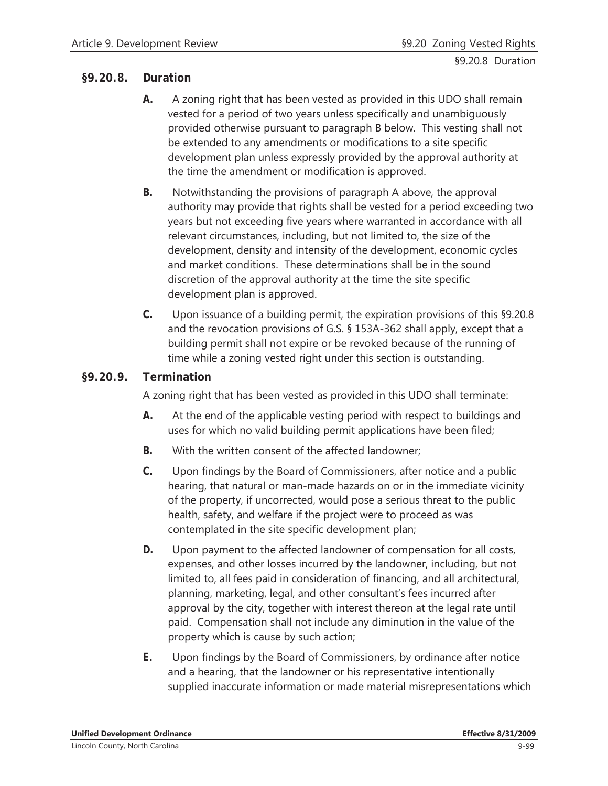#### **§9.20.8. Duration**

- **A.** A zoning right that has been vested as provided in this UDO shall remain vested for a period of two years unless specifically and unambiguously provided otherwise pursuant to paragraph B below. This vesting shall not be extended to any amendments or modifications to a site specific development plan unless expressly provided by the approval authority at the time the amendment or modification is approved.
- **B.** Notwithstanding the provisions of paragraph A above, the approval authority may provide that rights shall be vested for a period exceeding two years but not exceeding five years where warranted in accordance with all relevant circumstances, including, but not limited to, the size of the development, density and intensity of the development, economic cycles and market conditions. These determinations shall be in the sound discretion of the approval authority at the time the site specific development plan is approved.
- **C.** Upon issuance of a building permit, the expiration provisions of this §9.20.8 and the revocation provisions of G.S. § 153A-362 shall apply, except that a building permit shall not expire or be revoked because of the running of time while a zoning vested right under this section is outstanding.

## **§9.20.9. Termination**

A zoning right that has been vested as provided in this UDO shall terminate:

- **A.** At the end of the applicable vesting period with respect to buildings and uses for which no valid building permit applications have been filed;
- **B.** With the written consent of the affected landowner;
- **C.** Upon findings by the Board of Commissioners, after notice and a public hearing, that natural or man-made hazards on or in the immediate vicinity of the property, if uncorrected, would pose a serious threat to the public health, safety, and welfare if the project were to proceed as was contemplated in the site specific development plan;
- **D.** Upon payment to the affected landowner of compensation for all costs, expenses, and other losses incurred by the landowner, including, but not limited to, all fees paid in consideration of financing, and all architectural, planning, marketing, legal, and other consultant's fees incurred after approval by the city, together with interest thereon at the legal rate until paid. Compensation shall not include any diminution in the value of the property which is cause by such action;
- **E.** Upon findings by the Board of Commissioners, by ordinance after notice and a hearing, that the landowner or his representative intentionally supplied inaccurate information or made material misrepresentations which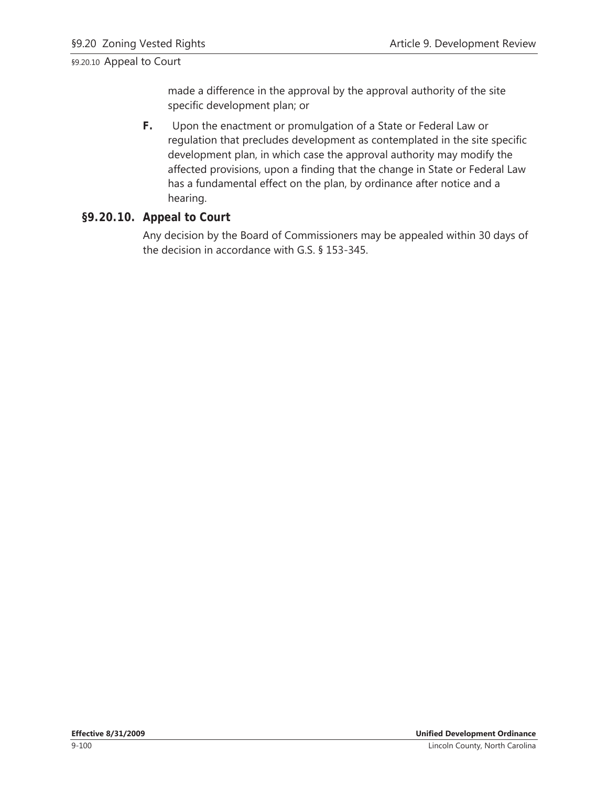§9.20.10 Appeal to Court

made a difference in the approval by the approval authority of the site specific development plan; or

**F.** Upon the enactment or promulgation of a State or Federal Law or regulation that precludes development as contemplated in the site specific development plan, in which case the approval authority may modify the affected provisions, upon a finding that the change in State or Federal Law has a fundamental effect on the plan, by ordinance after notice and a hearing.

## **§9.20.10. Appeal to Court**

Any decision by the Board of Commissioners may be appealed within 30 days of the decision in accordance with G.S. § 153-345.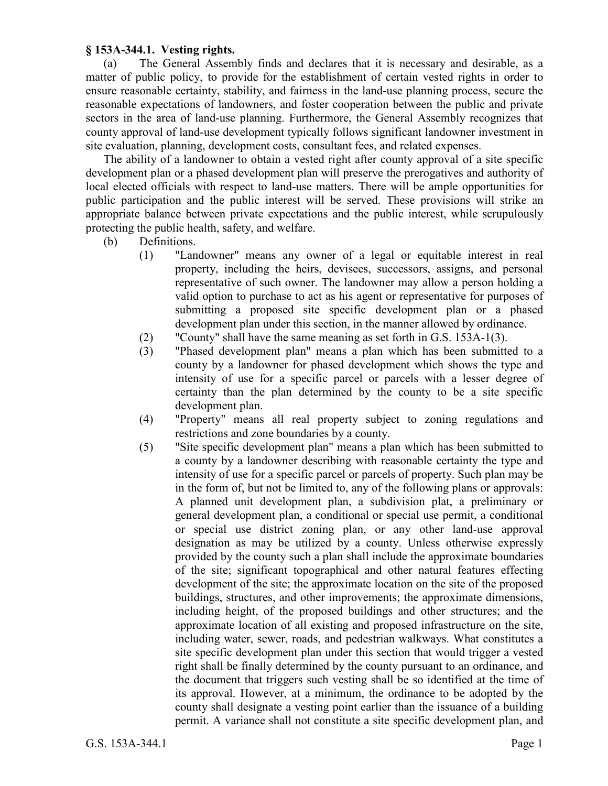#### **§ 153A-344.1. Vesting rights.**

(a) The General Assembly finds and declares that it is necessary and desirable, as a matter of public policy, to provide for the establishment of certain vested rights in order to ensure reasonable certainty, stability, and fairness in the land-use planning process, secure the reasonable expectations of landowners, and foster cooperation between the public and private sectors in the area of land-use planning. Furthermore, the General Assembly recognizes that county approval of land-use development typically follows significant landowner investment in site evaluation, planning, development costs, consultant fees, and related expenses.

The ability of a landowner to obtain a vested right after county approval of a site specific development plan or a phased development plan will preserve the prerogatives and authority of local elected officials with respect to land-use matters. There will be ample opportunities for public participation and the public interest will be served. These provisions will strike an appropriate balance between private expectations and the public interest, while scrupulously protecting the public health, safety, and welfare.

- (b) Definitions.
	- (1) "Landowner" means any owner of a legal or equitable interest in real property, including the heirs, devisees, successors, assigns, and personal representative of such owner. The landowner may allow a person holding a valid option to purchase to act as his agent or representative for purposes of submitting a proposed site specific development plan or a phased development plan under this section, in the manner allowed by ordinance.
	- (2) "County" shall have the same meaning as set forth in G.S. 153A-1(3).
	- (3) "Phased development plan" means a plan which has been submitted to a county by a landowner for phased development which shows the type and intensity of use for a specific parcel or parcels with a lesser degree of certainty than the plan determined by the county to be a site specific development plan.
	- (4) "Property" means all real property subject to zoning regulations and restrictions and zone boundaries by a county.
	- (5) "Site specific development plan" means a plan which has been submitted to a county by a landowner describing with reasonable certainty the type and intensity of use for a specific parcel or parcels of property. Such plan may be in the form of, but not be limited to, any of the following plans or approvals: A planned unit development plan, a subdivision plat, a preliminary or general development plan, a conditional or special use permit, a conditional or special use district zoning plan, or any other land-use approval designation as may be utilized by a county. Unless otherwise expressly provided by the county such a plan shall include the approximate boundaries of the site; significant topographical and other natural features effecting development of the site; the approximate location on the site of the proposed buildings, structures, and other improvements; the approximate dimensions, including height, of the proposed buildings and other structures; and the approximate location of all existing and proposed infrastructure on the site, including water, sewer, roads, and pedestrian walkways. What constitutes a site specific development plan under this section that would trigger a vested right shall be finally determined by the county pursuant to an ordinance, and the document that triggers such vesting shall be so identified at the time of its approval. However, at a minimum, the ordinance to be adopted by the county shall designate a vesting point earlier than the issuance of a building permit. A variance shall not constitute a site specific development plan, and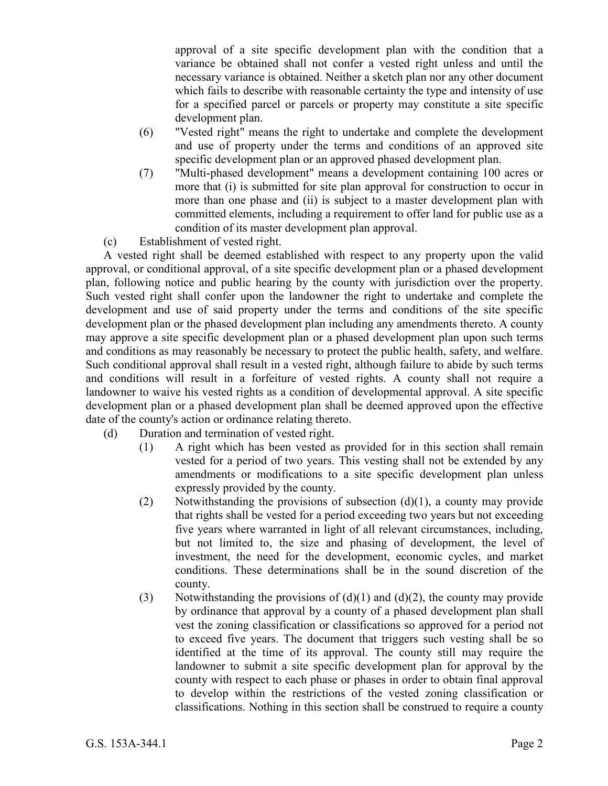approval of a site specific development plan with the condition that a variance be obtained shall not confer a vested right unless and until the necessary variance is obtained. Neither a sketch plan nor any other document which fails to describe with reasonable certainty the type and intensity of use for a specified parcel or parcels or property may constitute a site specific development plan.

- (6) "Vested right" means the right to undertake and complete the development and use of property under the terms and conditions of an approved site specific development plan or an approved phased development plan.
- (7) "Multi-phased development" means a development containing 100 acres or more that (i) is submitted for site plan approval for construction to occur in more than one phase and (ii) is subject to a master development plan with committed elements, including a requirement to offer land for public use as a condition of its master development plan approval.
- (c) Establishment of vested right.

A vested right shall be deemed established with respect to any property upon the valid approval, or conditional approval, of a site specific development plan or a phased development plan, following notice and public hearing by the county with jurisdiction over the property. Such vested right shall confer upon the landowner the right to undertake and complete the development and use of said property under the terms and conditions of the site specific development plan or the phased development plan including any amendments thereto. A county may approve a site specific development plan or a phased development plan upon such terms and conditions as may reasonably be necessary to protect the public health, safety, and welfare. Such conditional approval shall result in a vested right, although failure to abide by such terms and conditions will result in a forfeiture of vested rights. A county shall not require a landowner to waive his vested rights as a condition of developmental approval. A site specific development plan or a phased development plan shall be deemed approved upon the effective date of the county's action or ordinance relating thereto.

- (d) Duration and termination of vested right.
	- (1) A right which has been vested as provided for in this section shall remain vested for a period of two years. This vesting shall not be extended by any amendments or modifications to a site specific development plan unless expressly provided by the county.
	- (2) Notwithstanding the provisions of subsection  $(d)(1)$ , a county may provide that rights shall be vested for a period exceeding two years but not exceeding five years where warranted in light of all relevant circumstances, including, but not limited to, the size and phasing of development, the level of investment, the need for the development, economic cycles, and market conditions. These determinations shall be in the sound discretion of the county.
	- (3) Notwithstanding the provisions of  $(d)(1)$  and  $(d)(2)$ , the county may provide by ordinance that approval by a county of a phased development plan shall vest the zoning classification or classifications so approved for a period not to exceed five years. The document that triggers such vesting shall be so identified at the time of its approval. The county still may require the landowner to submit a site specific development plan for approval by the county with respect to each phase or phases in order to obtain final approval to develop within the restrictions of the vested zoning classification or classifications. Nothing in this section shall be construed to require a county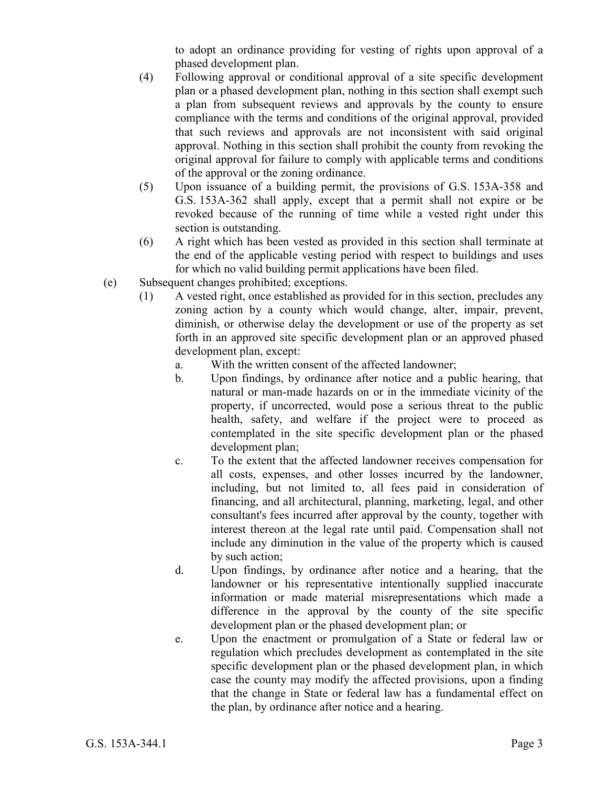to adopt an ordinance providing for vesting of rights upon approval of a phased development plan.

- (4) Following approval or conditional approval of a site specific development plan or a phased development plan, nothing in this section shall exempt such a plan from subsequent reviews and approvals by the county to ensure compliance with the terms and conditions of the original approval, provided that such reviews and approvals are not inconsistent with said original approval. Nothing in this section shall prohibit the county from revoking the original approval for failure to comply with applicable terms and conditions of the approval or the zoning ordinance.
- (5) Upon issuance of a building permit, the provisions of G.S. 153A-358 and G.S. 153A-362 shall apply, except that a permit shall not expire or be revoked because of the running of time while a vested right under this section is outstanding.
- (6) A right which has been vested as provided in this section shall terminate at the end of the applicable vesting period with respect to buildings and uses for which no valid building permit applications have been filed.
- (e) Subsequent changes prohibited; exceptions.
	- (1) A vested right, once established as provided for in this section, precludes any zoning action by a county which would change, alter, impair, prevent, diminish, or otherwise delay the development or use of the property as set forth in an approved site specific development plan or an approved phased development plan, except:
		- a. With the written consent of the affected landowner;
		- b. Upon findings, by ordinance after notice and a public hearing, that natural or man-made hazards on or in the immediate vicinity of the property, if uncorrected, would pose a serious threat to the public health, safety, and welfare if the project were to proceed as contemplated in the site specific development plan or the phased development plan;
		- c. To the extent that the affected landowner receives compensation for all costs, expenses, and other losses incurred by the landowner, including, but not limited to, all fees paid in consideration of financing, and all architectural, planning, marketing, legal, and other consultant's fees incurred after approval by the county, together with interest thereon at the legal rate until paid. Compensation shall not include any diminution in the value of the property which is caused by such action;
		- d. Upon findings, by ordinance after notice and a hearing, that the landowner or his representative intentionally supplied inaccurate information or made material misrepresentations which made a difference in the approval by the county of the site specific development plan or the phased development plan; or
		- e. Upon the enactment or promulgation of a State or federal law or regulation which precludes development as contemplated in the site specific development plan or the phased development plan, in which case the county may modify the affected provisions, upon a finding that the change in State or federal law has a fundamental effect on the plan, by ordinance after notice and a hearing.